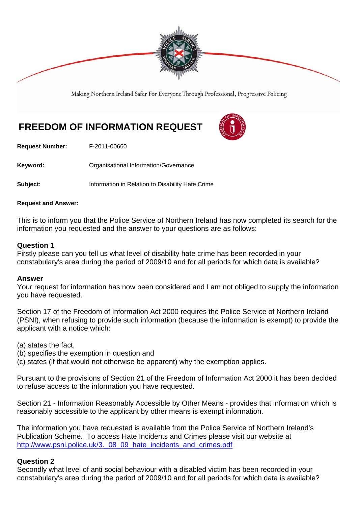

Making Northern Ireland Safer For Everyone Through Professional, Progressive Policing

# **FREEDOM OF INFORMATION REQUEST**



**Request Number:** F-2011-00660

Keyword: **Communistry Communists** Organisational Information/Governance

**Subject:** Information in Relation to Disability Hate Crime

#### **Request and Answer:**

This is to inform you that the Police Service of Northern Ireland has now completed its search for the information you requested and the answer to your questions are as follows:

#### **Question 1**

Firstly please can you tell us what level of disability hate crime has been recorded in your constabulary's area during the period of 2009/10 and for all periods for which data is available?

#### **Answer**

Your request for information has now been considered and I am not obliged to supply the information you have requested.

Section 17 of the Freedom of Information Act 2000 requires the Police Service of Northern Ireland (PSNI), when refusing to provide such information (because the information is exempt) to provide the applicant with a notice which:

(a) states the fact,

- (b) specifies the exemption in question and
- (c) states (if that would not otherwise be apparent) why the exemption applies.

Pursuant to the provisions of Section 21 of the Freedom of Information Act 2000 it has been decided to refuse access to the information you have requested.

Section 21 - Information Reasonably Accessible by Other Means - provides that information which is reasonably accessible to the applicant by other means is exempt information.

The information you have requested is available from the Police Service of Northern Ireland's Publication Scheme. To access Hate Incidents and Crimes please visit our website at http://www.psni.police.uk/3. 08 09 hate incidents and crimes.pdf

#### **Question 2**

Secondly what level of anti social behaviour with a disabled victim has been recorded in your constabulary's area during the period of 2009/10 and for all periods for which data is available?